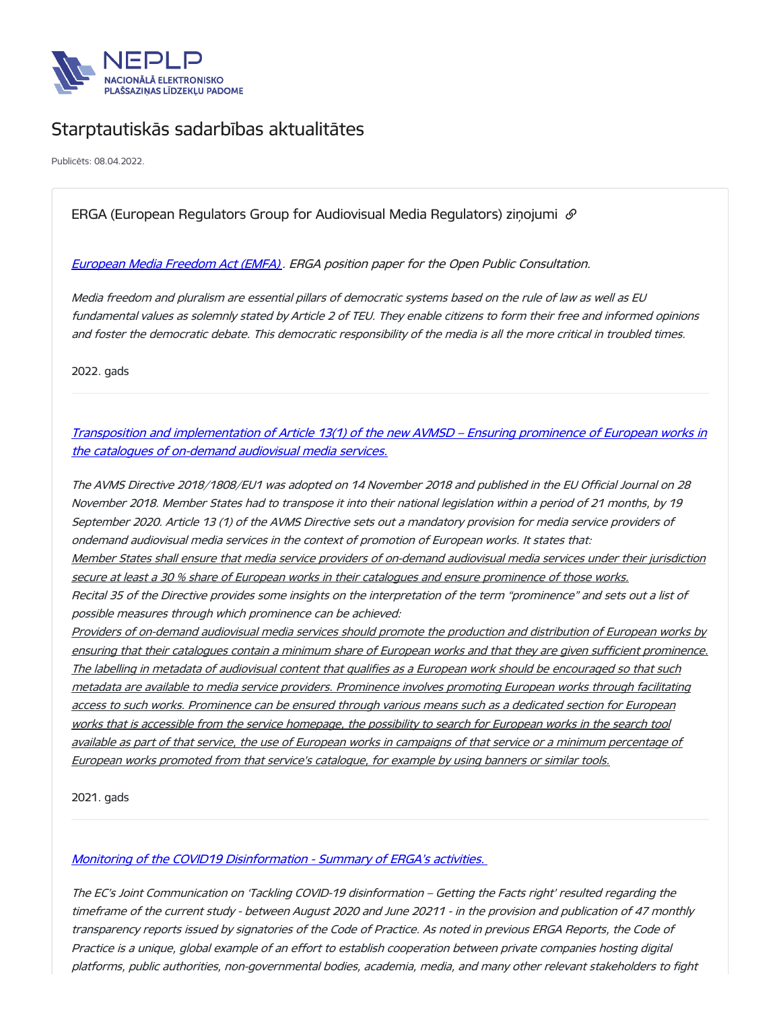

# Starptautiskās sadarbības aktualitātes

Publicēts: 08.04.2022.

## ERGA (European Regulators Group for Audiovisual Media Regulators) zinojumi  $\mathcal O$

### [European](https://erga-online.eu/wp-content/uploads/2022/03/2022-03-EMFA-ERGA-position-paper-for-the-public-consultation-final_adopted.pdf) Media Freedom Act (EMFA) . ERGA position paper for the Open Public Consultation.

Media freedom and pluralism are essential pillars of democratic systems based on the rule of law as well as EU fundamental values as solemnly stated by Article 2 of TEU. They enable citizens to form their free and informed opinions and foster the democratic debate. This democratic responsibility of the media is all the more critical in troubled times.

2022. gads

## Transposition and [implementation](https://erga-online.eu/wp-content/uploads/2021/12/ERGA-SG1-2021-Report-Article-13_1.pdf) of Article 13(1) of the new AVMSD – Ensuring prominence of European works in the catalogues of on-demand audiovisual media services.

The AVMS Directive 2018/1808/EU1 was adopted on 14 November 2018 and published in the EU Official Journal on 28 November 2018. Member States had to transpose it into their national legislation within <sup>a</sup> period of 21 months, by 19 September 2020. Article 13 (1) of the AVMS Directive sets out <sup>a</sup> mandatory provision for media service providers of ondemand audiovisual media services in the context of promotion of European works. It states that: Member States shall ensure that media service providers of on-demand audiovisual media services under their jurisdiction secure at least a 30 % share of European works in their catalogues and ensure prominence of those works. Recital 35 of the Directive provides some insights on the interpretation of the term "prominence" and sets out <sup>a</sup> list of possible measures through which prominence can be achieved: Providers of on-demand audiovisual media services should promote the production and distribution of European works by ensuring that their catalogues contain <sup>a</sup> minimum share of European works and that they are given sufficient prominence. The labelling in metadata of audiovisual content that qualifies as <sup>a</sup> European work should be encouraged so that such metadata are available to media service providers. Prominence involves promoting European works through facilitating access to such works. Prominence can be ensured through various means such as <sup>a</sup> dedicated section for European works that is accessible from the service homepage, the possibility to search for European works in the search tool available as part of that service, the use of European works in campaigns of that service or a minimum percentage of European works promoted from that service's catalogue, for example by using banners or similar tools.

2021. gads

### Monitoring of the COVID19 [Disinformation](https://erga-online.eu/wp-content/uploads/2021/12/ERGA-SG3-2021-Report-Monitoring-of-COVID-19-disinformation.pdf) - Summary of ERGA's activities.

The EC's Joint Communication on 'Tackling COVID-19 disinformation – Getting the Facts right' resulted regarding the timeframe of the current study - between August 2020 and June 20211 - in the provision and publication of 47 monthly transparency reports issued by signatories of the Code of Practice. As noted in previous ERGA Reports, the Code of Practice is <sup>a</sup> unique, global example of an effort to establish cooperation between private companies hosting digital platforms, public authorities, non-governmental bodies, academia, media, and many other relevant stakeholders to fight